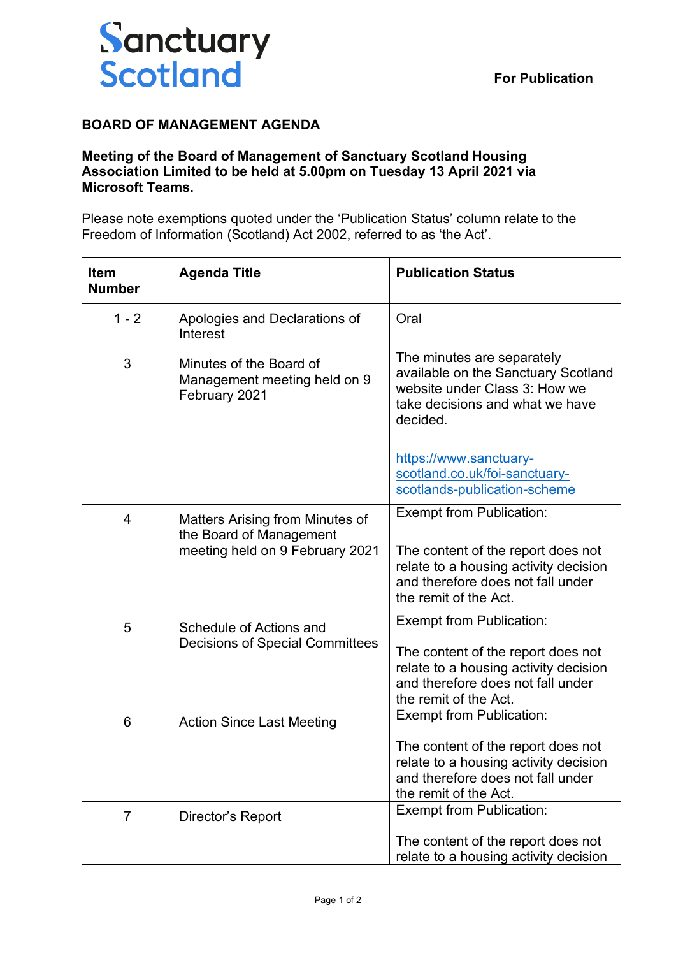

## **BOARD OF MANAGEMENT AGENDA**

## **Meeting of the Board of Management of Sanctuary Scotland Housing Association Limited to be held at 5.00pm on Tuesday 13 April 2021 via Microsoft Teams.**

Please note exemptions quoted under the 'Publication Status' column relate to the Freedom of Information (Scotland) Act 2002, referred to as 'the Act'.

| <b>Item</b><br><b>Number</b> | <b>Agenda Title</b>                                                                           | <b>Publication Status</b>                                                                                                                                                    |
|------------------------------|-----------------------------------------------------------------------------------------------|------------------------------------------------------------------------------------------------------------------------------------------------------------------------------|
| $1 - 2$                      | Apologies and Declarations of<br>Interest                                                     | Oral                                                                                                                                                                         |
| 3                            | Minutes of the Board of<br>Management meeting held on 9<br>February 2021                      | The minutes are separately<br>available on the Sanctuary Scotland<br>website under Class 3: How we<br>take decisions and what we have<br>decided.                            |
|                              |                                                                                               | https://www.sanctuary-<br>scotland.co.uk/foi-sanctuary-<br>scotlands-publication-scheme                                                                                      |
| 4                            | Matters Arising from Minutes of<br>the Board of Management<br>meeting held on 9 February 2021 | <b>Exempt from Publication:</b><br>The content of the report does not<br>relate to a housing activity decision<br>and therefore does not fall under<br>the remit of the Act. |
| 5                            | Schedule of Actions and<br><b>Decisions of Special Committees</b>                             | Exempt from Publication:<br>The content of the report does not<br>relate to a housing activity decision<br>and therefore does not fall under<br>the remit of the Act.        |
| 6                            | <b>Action Since Last Meeting</b>                                                              | <b>Exempt from Publication:</b><br>The content of the report does not<br>relate to a housing activity decision<br>and therefore does not fall under<br>the remit of the Act. |
| $\overline{7}$               | Director's Report                                                                             | Exempt from Publication:<br>The content of the report does not<br>relate to a housing activity decision                                                                      |